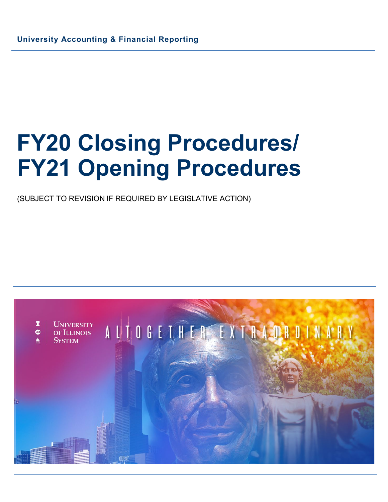(SUBJECT TO REVISION IF REQUIRED BY LEGISLATIVE ACTION)

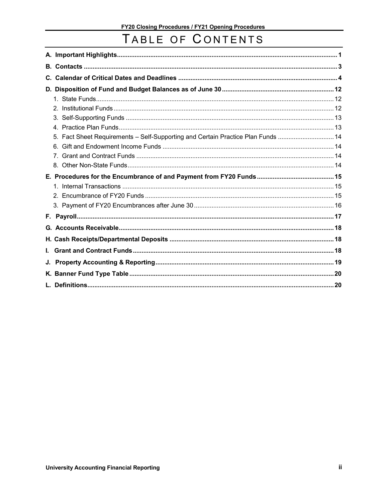# TABLE OF CONTENTS

| C. |                                                                               |  |
|----|-------------------------------------------------------------------------------|--|
|    |                                                                               |  |
|    |                                                                               |  |
|    |                                                                               |  |
|    |                                                                               |  |
|    |                                                                               |  |
|    | Fact Sheet Requirements - Self-Supporting and Certain Practice Plan Funds  14 |  |
|    |                                                                               |  |
|    |                                                                               |  |
|    |                                                                               |  |
|    |                                                                               |  |
|    |                                                                               |  |
|    |                                                                               |  |
|    |                                                                               |  |
|    |                                                                               |  |
|    |                                                                               |  |
|    |                                                                               |  |
|    |                                                                               |  |
| L. |                                                                               |  |
|    |                                                                               |  |
|    |                                                                               |  |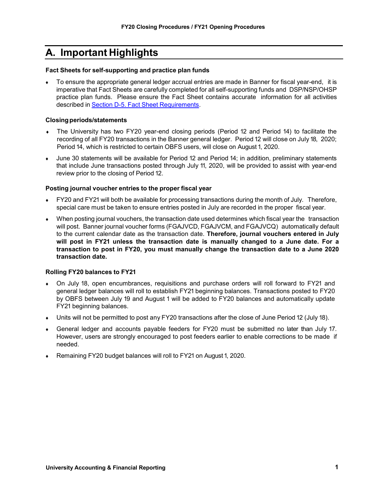# <span id="page-2-0"></span>**A. Important Highlights**

#### **Fact Sheets for self-supporting and practice plan funds**

To ensure the appropriate general ledger accrual entries are made in Banner for fiscal year-end, it is imperative that Fact Sheets are carefully completed for all self-supporting funds and DSP/NSP/OHSP practice plan funds. Please ensure the Fact Sheet contains accurate information for all activities described in Section D-5. Fact Sheet [Requirements.](#page-15-0)

#### **Closingperiods/statements**

- The University has two FY20 year-end closing periods (Period 12 and Period 14) to facilitate the recording of all FY20 transactions in the Banner general ledger. Period 12 will close on July 18, 2020; Period 14, which is restricted to certain OBFS users, will close on August 1, 2020.
- June 30 statements will be available for Period 12 and Period 14; in addition, preliminary statements that include June transactions posted through July 11, 2020, will be provided to assist with year-end review prior to the closing of Period 12.

#### **Posting journal voucher entries to the proper fiscal year**

- FY20 and FY21 will both be available for processing transactions during the month of July. Therefore, special care must be taken to ensure entries posted in July are recorded in the proper fiscal year.
- When posting journal vouchers, the transaction date used determines which fiscal year the transaction will post. Banner journal voucher forms (FGAJVCD, FGAJVCM, and FGAJVCQ) automatically default to the current calendar date as the transaction date. **Therefore, journal vouchers entered in July will post in FY21 unless the transaction date is manually changed to a June date. For a transaction to post in FY20, you must manually change the transaction date to a June 2020 transaction date.**

#### **Rolling FY20 balances to FY21**

- On July 18, open encumbrances, requisitions and purchase orders will roll forward to FY21 and general ledger balances will roll to establish FY21 beginning balances. Transactions posted to FY20 by OBFS between July 19 and August 1 will be added to FY20 balances and automatically update FY21 beginning balances.
- ♦ Units will not be permitted to post any FY20 transactions after the close of June Period 12 (July 18).
- General ledger and accounts payable feeders for FY20 must be submitted no later than July 17. However, users are strongly encouraged to post feeders earlier to enable corrections to be made if needed.
- Remaining FY20 budget balances will roll to FY21 on August 1, 2020.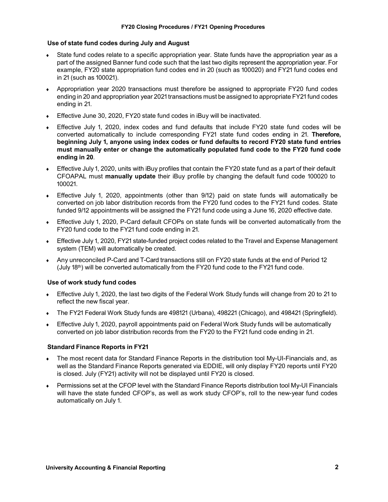#### **Use of state fund codes during July and August**

- State fund codes relate to a specific appropriation year. State funds have the appropriation year as a part of the assigned Banner fund code such that the last two digits represent the appropriation year. For example, FY20 state appropriation fund codes end in 20 (such as 100020) and FY21 fund codes end in 21 (such as 100021).
- ♦ Appropriation year 2020 transactions must therefore be assigned to appropriate FY20 fund codes ending in 20 and appropriation year 2021 transactions must be assigned to appropriate FY21 fund codes ending in 21.
- ♦ Effective June 30, 2020, FY20 state fund codes in iBuy will be inactivated.
- Effective July 1, 2020, index codes and fund defaults that include FY20 state fund codes will be converted automatically to include corresponding FY21 state fund codes ending in 21. **Therefore, beginning July 1, anyone using index codes or fund defaults to record FY20 state fund entries must manually enter or change the automatically populated fund code to the FY20 fund code ending in 20**.
- ♦ Effective July 1, 2020, units with iBuy profiles that contain the FY20 state fund as a part of their default CFOAPAL must **manually update** their iBuy profile by changing the default fund code 100020 to 100021.
- ♦ Effective July 1, 2020, appointments (other than 9/12) paid on state funds will automatically be converted on job labor distribution records from the FY20 fund codes to the FY21 fund codes. State funded 9/12 appointments will be assigned the FY21 fund code using a June 16, 2020 effective date.
- Effective July 1, 2020, P-Card default CFOPs on state funds will be converted automatically from the FY20 fund code to the FY21 fund code ending in 21.
- Effective July 1, 2020, FY21 state-funded project codes related to the Travel and Expense Management system (TEM) will automatically be created.
- Any unreconciled P-Card and T-Card transactions still on FY20 state funds at the end of Period 12 (July  $18<sup>th</sup>$ ) will be converted automatically from the FY20 fund code to the FY21 fund code.

#### **Use of work study fund codes**

- ♦ Effective July 1, 2020, the last two digits of the Federal Work Study funds will change from 20 to 21 to reflect the new fiscal year.
- The FY21 Federal Work Study funds are 498121 (Urbana), 498221 (Chicago), and 498421 (Springfield).
- Effective July 1, 2020, payroll appointments paid on Federal Work Study funds will be automatically converted on job labor distribution records from the FY20 to the FY21 fund code ending in 21.

#### **Standard Finance Reports in FY21**

- ♦ The most recent data for Standard Finance Reports in the distribution tool My-UI-Financials and, as well as the Standard Finance Reports generated via EDDIE, will only display FY20 reports until FY20 is closed. July (FY21) activity will not be displayed until FY20 is closed.
- Permissions set at the CFOP level with the Standard Finance Reports distribution tool My-UI Financials will have the state funded CFOP's, as well as work study CFOP's, roll to the new-year fund codes automatically on July 1.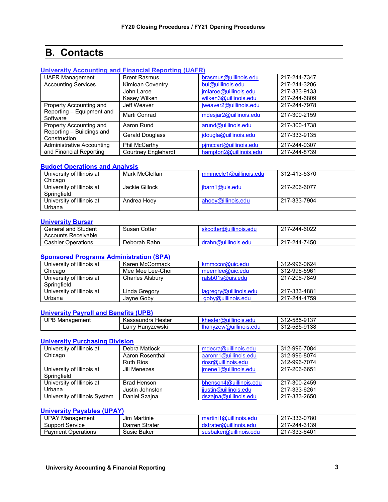# <span id="page-4-0"></span>**B. Contacts**

#### **[University Accounting and Financial Reporting \(UAFR\)](https://www.obfs.uillinois.edu/accounting-financial-reporting/)**

| <b>UAFR Management</b>                               | <b>Brent Rasmus</b>        | brasmus@uillinois.edu  | 217-244-7347 |
|------------------------------------------------------|----------------------------|------------------------|--------------|
| <b>Accounting Services</b>                           | <b>Kimloan Coventry</b>    | bui@uillinois.edu      | 217-244-3206 |
|                                                      | John Laroe                 | jmlaroe@uillinois.edu  | 217-333-9133 |
|                                                      | Kasey Wilken               | wilken3@uillinois.edu  | 217-244-6809 |
| Property Accounting and<br>Reporting - Equipment and | Jeff Weaver                | jweaver2@uillinois.edu | 217-244-7978 |
| Software                                             | Marti Conrad               | mdesjar2@uillinois.edu | 217-300-2159 |
| Property Accounting and                              | Aaron Rund                 | arund@uillinois.edu    | 217-300-1738 |
| Reporting - Buildings and<br>Construction            | Gerald Douglass            | jdougla@uillinois.edu  | 217-333-9135 |
| <b>Administrative Accounting</b>                     | <b>Phil McCarthy</b>       | pimccart@uillinois.edu | 217-244-0307 |
| and Financial Reporting                              | <b>Courtney Englehardt</b> | hampton2@uillinois.edu | 217-244-8739 |

#### **[Budget Operations and Analysis](https://www.obfs.uillinois.edu/budgeting/)**

| University of Illinois at | Mark McClellan | mmmccle1@uillinois.edu | 312-413-5370 |
|---------------------------|----------------|------------------------|--------------|
| Chicago                   |                |                        |              |
| University of Illinois at | Jackie Gillock | jbarn1@uis.edu         | 217-206-6077 |
| Springfield               |                |                        |              |
| University of Illinois at | Andrea Hoey    | ahoey@illinois.edu     | 217-333-7904 |
| Urbana                    |                |                        |              |

#### **[University Bursar](https://www.obfs.uillinois.edu/usfsco/)**

| General and Student       | Susan Cotter | skcotter@uillinois.edu | 217-244-6022 |
|---------------------------|--------------|------------------------|--------------|
| Accounts Receivable       |              |                        |              |
| <b>Cashier Operations</b> | Deborah Rahn | drahn@uillinois.edu    | 217-244-7450 |

#### **[Sponsored Programs Administration](https://www.obfs.uillinois.edu/grants/) (SPA)**

| University of Illinois at                | Karen McCormack        | krnmccor@uic.edu          | 312-996-0624 |
|------------------------------------------|------------------------|---------------------------|--------------|
| Chicago                                  | Mee Mee Lee-Choi       | meemlee@uic.edu           | 312-996-5961 |
| University of Illinois at<br>Springfield | <b>Charles Alsbury</b> | ralsb01s@uis.edu          | 217-206-7849 |
| University of Illinois at                | Linda Gregory          | $l$ agregry@uillinois.edu | 217-333-4881 |
| Urbana                                   | Jayne Goby             | goby@uillinois.edu        | 217-244-4759 |

#### **[University Payroll and Benefits \(UPB\)](https://www.obfs.uillinois.edu/payroll/)**

| <b>UPB Management</b> | Hester<br>Kassaundra | nestel                                   | 312-585-9137 |
|-----------------------|----------------------|------------------------------------------|--------------|
|                       | ∟arrv<br>∵Hanvzewski | uilinois.edu<br>han<br>$nVZ$ ew $\omega$ | 312-585-9138 |

#### **[University Purchasing Division](https://www.obfs.uillinois.edu/purchases/)**

| University of Illinois at     | Debra Matlock    | mdecra@uillinois.edu   | 312-996-7084 |
|-------------------------------|------------------|------------------------|--------------|
| Chicago                       | Aaron Rosenthal  | aaronr1@uillinois.edu  | 312-996-8074 |
|                               | <b>Ruth Rios</b> | riosr@uillinois.edu    | 312-996-7074 |
| University of Illinois at     | Jill Menezes     | imene1@uillinois.edu   | 217-206-6651 |
| Springfield                   |                  |                        |              |
| University of Illinois at     | Brad Henson      | bhenson4@uillinois.edu | 217-300-2459 |
| Urbana                        | Justin Johnston  | jjustin@uillinois.edu  | 217-333-6261 |
| University of Illinois System | Daniel Szaina    | dszajna@uillinois.edu  | 217-333-2650 |

#### **[University Payables \(UPAY\)](https://www.obfs.uillinois.edu/payments/)**

| UPAY<br>Management        | .ı Martınıe<br>Jım | `1 <i>(œ</i> uillinois.edu<br>mar | 217-333-0780 |
|---------------------------|--------------------|-----------------------------------|--------------|
| Support<br>Service        | Darren Strater     | וואה הוהו                         | 217-244-3139 |
| <b>Payment Operations</b> | Susie Baker        | susbaker@<br>'s.edu               | 217-333-6401 |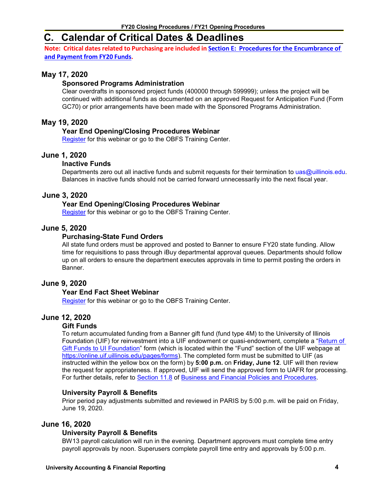# <span id="page-5-0"></span>**C. Calendar of Critical Dates & Deadlines**

**Note: Critical dates related to Purchasing are included in Section E: Procedures for the Encumbrance of and [Payment](#page-16-1) from FY20 Funds.**

#### **May 17, 2020**

#### **Sponsored Programs Administration**

Clear overdrafts in sponsored project funds (400000 through 599999); unless the project will be continued with additional funds as documented on an approved Request for Anticipation Fund (Form GC70) or prior arrangements have been made with the Sponsored Programs Administration.

#### **May 19, 2020**

#### **Year End Opening/Closing Procedures Webinar**

Register for this webinar or go to the OBFS Training Center.

#### **June 1, 2020**

#### **Inactive Funds**

Departments zero out all inactive funds and submit requests for their termination to [uas@uillinois.edu.](mailto:uas@uillinois.edu) Balances in inactive funds should not be carried forward unnecessarily into the next fiscal year.

#### **June 3, 2020**

#### **Year End Opening/Closing Procedures Webinar**

Register for this webinar or go to the OBFS Training Center.

#### **June 5, 2020**

#### **Purchasing-State Fund Orders**

All state fund orders must be approved and posted to Banner to ensure FY20 state funding. Allow time for requisitions to pass through iBuy departmental approval queues. Departments should follow up on all orders to ensure the department executes approvals in time to permit posting the orders in Banner.

#### **June 9, 2020**

#### **Year End Fact Sheet Webinar**

Register for this webinar or go to the OBFS Training Center.

#### **June 12, 2020**

#### **Gift Funds**

To return accumulated funding from a Banner gift fund (fund type 4M) to the University of Illinois Foundation (UIF) for reinvestment into a UIF endowment or quasi-endowment, complete a ["Return of](https://onlinecloudprod.uif.uillinois.edu/system/files/2019-05/Sec11-8TransferBANNERmoney.pdf?_ga=2.115374214.1893198321.1582128603-2044951025.1573163783)  [Gift Funds to UI Foundation"](https://onlinecloudprod.uif.uillinois.edu/system/files/2019-05/Sec11-8TransferBANNERmoney.pdf?_ga=2.115374214.1893198321.1582128603-2044951025.1573163783) form (which is located within the "Fund" section of the UIF webpage at [https://online.uif.uillinois.edu/pages/forms\)](https://online.uif.uillinois.edu/pages/forms). The completed form must be submitted to UIF (as instructed within the yellow box on the form) by **5:00 p.m.** on **Friday, June 12**. UIF will then review the request for appropriateness. If approved, UIF will send the approved form to UAFR for processing. For further details, refer to [Section 11.8](https://www.obfs.uillinois.edu/bfpp/section-11-gifts-endowments/section-11-8) of [Business and Financial Policies and Procedures.](https://www.obfs.uillinois.edu/bfpp/)

#### **University Payroll & Benefits**

Prior period pay adjustments submitted and reviewed in PARIS by 5:00 p.m. will be paid on Friday, June 19, 2020.

#### **June 16, 2020**

#### **University Payroll & Benefits**

BW13 payroll calculation will run in the evening. Department approvers must complete time entry payroll approvals by noon. Superusers complete payroll time entry and approvals by 5:00 p.m.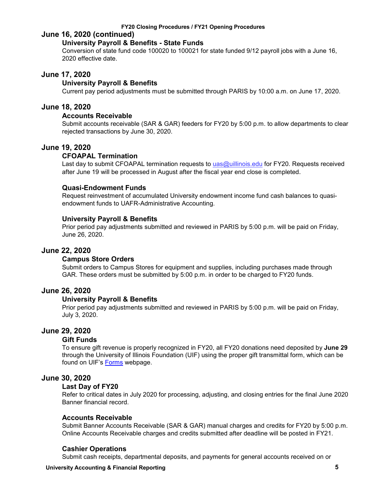#### **June 16, 2020 (continued)**

#### **University Payroll & Benefits - State Funds**

Conversion of state fund code 100020 to 100021 for state funded 9/12 payroll jobs with a June 16, 2020 effective date.

#### **June 17, 2020**

#### **University Payroll & Benefits**

Current pay period adjustments must be submitted through PARIS by 10:00 a.m. on June 17, 2020.

#### **June 18, 2020**

#### **Accounts Receivable**

Submit accounts receivable (SAR & GAR) feeders for FY20 by 5:00 p.m. to allow departments to clear rejected transactions by June 30, 2020.

#### **June 19, 2020**

#### **CFOAPAL Termination**

Last day to submit CFOAPAL termination requests to [uas@uillinois.edu](mailto:uas@uillinois.edu) for FY20. Requests received after June 19 will be processed in August after the fiscal year end close is completed.

#### **Quasi-Endowment Funds**

Request reinvestment of accumulated University endowment income fund cash balances to quasiendowment funds to UAFR-Administrative Accounting.

#### **University Payroll & Benefits**

Prior period pay adjustments submitted and reviewed in PARIS by 5:00 p.m. will be paid on Friday, June 26, 2020.

#### **June 22, 2020**

#### **Campus Store Orders**

Submit orders to Campus Stores for equipment and supplies, including purchases made through GAR. These orders must be submitted by 5:00 p.m. in order to be charged to FY20 funds.

#### **June 26, 2020**

#### **University Payroll & Benefits**

Prior period pay adjustments submitted and reviewed in PARIS by 5:00 p.m. will be paid on Friday, July 3, 2020.

#### **June 29, 2020**

#### **Gift Funds**

To ensure gift revenue is properly recognized in FY20, all FY20 donations need deposited by **June 29** through the University of Illinois Foundation (UIF) using the proper gift transmittal form, which can be found on UIF's [Forms](https://online.uif.uillinois.edu/pages/forms) webpage.

#### **June 30, 2020**

#### **Last Day of FY20**

Refer to critical dates in July 2020 for processing, adjusting, and closing entries for the final June 2020 Banner financial record.

#### **Accounts Receivable**

Submit Banner Accounts Receivable (SAR & GAR) manual charges and credits for FY20 by 5:00 p.m. Online Accounts Receivable charges and credits submitted after deadline will be posted in FY21.

#### **Cashier Operations**

Submit cash receipts, departmental deposits, and payments for general accounts received on or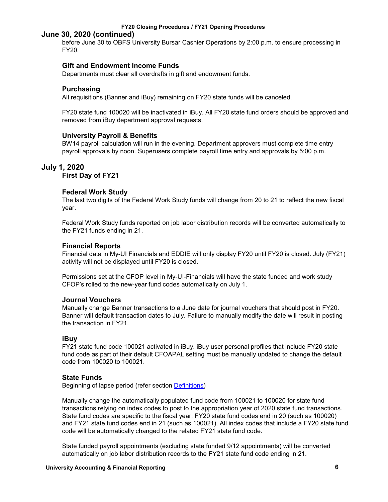#### **June 30, 2020 (continued)**

before June 30 to OBFS University Bursar Cashier Operations by 2:00 p.m. to ensure processing in FY20.

#### **Gift and Endowment Income Funds**

Departments must clear all overdrafts in gift and endowment funds.

#### **Purchasing**

All requisitions (Banner and iBuy) remaining on FY20 state funds will be canceled.

FY20 state fund 100020 will be inactivated in iBuy. All FY20 state fund orders should be approved and removed from iBuy department approval requests.

#### **University Payroll & Benefits**

BW14 payroll calculation will run in the evening. Department approvers must complete time entry payroll approvals by noon. Superusers complete payroll time entry and approvals by 5:00 p.m.

### **July 1, 2020**

#### **First Day of FY21**

#### **Federal Work Study**

The last two digits of the Federal Work Study funds will change from 20 to 21 to reflect the new fiscal year.

Federal Work Study funds reported on job labor distribution records will be converted automatically to the FY21 funds ending in 21.

#### **Financial Reports**

Financial data in My-UI Financials and EDDIE will only display FY20 until FY20 is closed. July (FY21) activity will not be displayed until FY20 is closed.

Permissions set at the CFOP level in My-UI-Financials will have the state funded and work study CFOP's rolled to the new-year fund codes automatically on July 1.

#### **Journal Vouchers**

Manually change Banner transactions to a June date for journal vouchers that should post in FY20. Banner will default transaction dates to July. Failure to manually modify the date will result in posting the transaction in FY21.

#### **iBuy**

FY21 state fund code 100021 activated in iBuy. iBuy user personal profiles that include FY20 state fund code as part of their default CFOAPAL setting must be manually updated to change the default code from 100020 to 100021.

#### **State Funds**

Beginning of lapse period (refer section [Definitions\)](#page-21-1)

Manually change the automatically populated fund code from 100021 to 100020 for state fund transactions relying on index codes to post to the appropriation year of 2020 state fund transactions. State fund codes are specific to the fiscal year; FY20 state fund codes end in 20 (such as 100020) and FY21 state fund codes end in 21 (such as 100021). All index codes that include a FY20 state fund code will be automatically changed to the related FY21 state fund code.

State funded payroll appointments (excluding state funded 9/12 appointments) will be converted automatically on job labor distribution records to the FY21 state fund code ending in 21.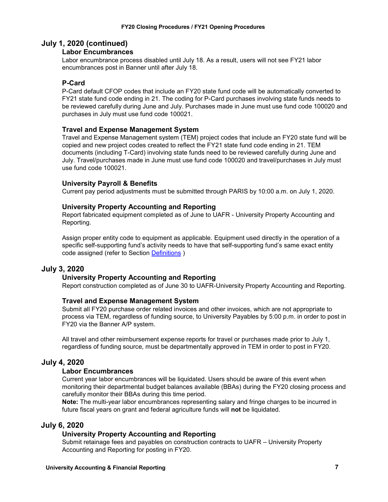### **July 1, 2020 (continued)**

#### **Labor Encumbrances**

Labor encumbrance process disabled until July 18. As a result, users will not see FY21 labor encumbrances post in Banner until after July 18.

#### **P-Card**

P-Card default CFOP codes that include an FY20 state fund code will be automatically converted to FY21 state fund code ending in 21. The coding for P-Card purchases involving state funds needs to be reviewed carefully during June and July. Purchases made in June must use fund code 100020 and purchases in July must use fund code 100021.

#### **Travel and Expense Management System**

Travel and Expense Management system (TEM) project codes that include an FY20 state fund will be copied and new project codes created to reflect the FY21 state fund code ending in 21. TEM documents (including T-Card) involving state funds need to be reviewed carefully during June and July. Travel/purchases made in June must use fund code 100020 and travel/purchases in July must use fund code 100021.

#### **University Payroll & Benefits**

Current pay period adjustments must be submitted through PARIS by 10:00 a.m. on July 1, 2020.

#### **University Property Accounting and Reporting**

Report fabricated equipment completed as of June to UAFR - University Property Accounting and Reporting.

Assign proper entity code to equipment as applicable. Equipment used directly in the operation of a specific self-supporting fund's activity needs to have that self-supporting fund's same exact entity code assigned (refer to Section [Definitions](#page-21-1) )

#### **July 3, 2020**

#### **University Property Accounting and Reporting**

Report construction completed as of June 30 to UAFR-University Property Accounting and Reporting.

#### **Travel and Expense Management System**

Submit all FY20 purchase order related invoices and other invoices, which are not appropriate to process via TEM, regardless of funding source, to University Payables by 5:00 p.m. in order to post in FY20 via the Banner A/P system.

All travel and other reimbursement expense reports for travel or purchases made prior to July 1, regardless of funding source, must be departmentally approved in TEM in order to post in FY20.

#### **July 4, 2020**

#### **Labor Encumbrances**

Current year labor encumbrances will be liquidated. Users should be aware of this event when monitoring their departmental budget balances available (BBAs) during the FY20 closing process and carefully monitor their BBAs during this time period.

**Note:** The multi-year labor encumbrances representing salary and fringe charges to be incurred in future fiscal years on grant and federal agriculture funds will **not** be liquidated.

#### **July 6, 2020**

#### **University Property Accounting and Reporting**

Submit retainage fees and payables on construction contracts to UAFR – University Property Accounting and Reporting for posting in FY20.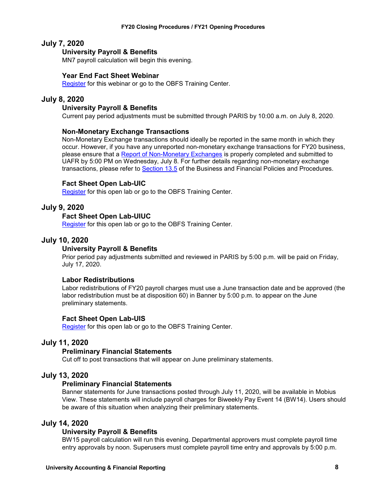#### **July 7, 2020**

#### **University Payroll & Benefits**

MN7 payroll calculation will begin this evening.

#### **Year End Fact Sheet Webinar**

[Register](https://www.obfs.uillinois.edu/cms/One.aspx?portalId=77176&pageId=1229721) for this webinar or go to the OBFS Training Center.

#### **July 8, 2020**

#### **University Payroll & Benefits**

Current pay period adjustments must be submitted through PARIS by 10:00 a.m. on July 8, 2020.

#### **Non-Monetary Exchange Transactions**

Non-Monetary Exchange transactions should ideally be reported in the same month in which they occur. However, if you have any unreported non-monetary exchange transactions for FY20 business, please ensure that a [Report of Non-Monetary Exchanges](https://www.obfs.uillinois.edu/common/pages/DisplayFile.aspx?itemId=94671) is properly completed and submitted to UAFR by 5:00 PM on Wednesday, July 8. For further details regarding non-monetary exchange transactions, please refer to [Section 13.5](https://www.obfs.uillinois.edu/bfpp/section-13-accounting/non-monetary-exchanges) of the Business and Financial Policies and Procedures.

#### **Fact Sheet Open Lab-UIC**

[Register](https://www.obfs.uillinois.edu/cms/One.aspx?portalId=77176&pageId=1229728) for this open lab or go to the OBFS Training Center.

#### **July 9, 2020**

#### **Fact Sheet Open Lab-UIUC**

[Register](https://www.obfs.uillinois.edu/cms/One.aspx?portalId=77176&pageId=1229715) for this open lab or go to the OBFS Training Center.

#### **July 10, 2020**

#### **University Payroll & Benefits**

Prior period pay adjustments submitted and reviewed in PARIS by 5:00 p.m. will be paid on Friday, July 17, 2020.

#### **Labor Redistributions**

Labor redistributions of FY20 payroll charges must use a June transaction date and be approved (the labor redistribution must be at disposition 60) in Banner by 5:00 p.m. to appear on the June preliminary statements.

#### **Fact Sheet Open Lab-UIS**

[Register](https://www.obfs.uillinois.edu/cms/One.aspx?portalId=77176&pageId=1229721) for this open lab or go to the OBFS Training Center.

#### **July 11, 2020**

#### **Preliminary Financial Statements**

Cut off to post transactions that will appear on June preliminary statements.

#### **July 13, 2020**

#### **Preliminary Financial Statements**

Banner statements for June transactions posted through July 11, 2020, will be available in Mobius View. These statements will include payroll charges for Biweekly Pay Event 14 (BW14). Users should be aware of this situation when analyzing their preliminary statements.

#### **July 14, 2020**

#### **University Payroll & Benefits**

BW15 payroll calculation will run this evening. Departmental approvers must complete payroll time entry approvals by noon. Superusers must complete payroll time entry and approvals by 5:00 p.m.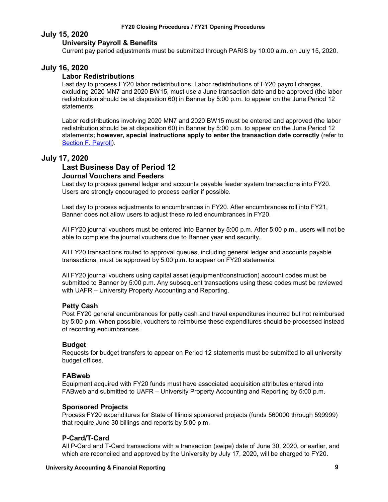#### **July 15, 2020**

#### **University Payroll & Benefits**

Current pay period adjustments must be submitted through PARIS by 10:00 a.m. on July 15, 2020.

#### **July 16, 2020**

#### **Labor Redistributions**

Last day to process FY20 labor redistributions. Labor redistributions of FY20 payroll charges, excluding 2020 MN7 and 2020 BW15, must use a June transaction date and be approved (the labor redistribution should be at disposition 60) in Banner by 5:00 p.m. to appear on the June Period 12 statements.

Labor redistributions involving 2020 MN7 and 2020 BW15 must be entered and approved (the labor redistribution should be at disposition 60) in Banner by 5:00 p.m. to appear on the June Period 12 statements**; however, special instructions apply to enter the transaction date correctly** (refer to [Section F. Payroll\)](#page-18-0).

#### **July 17, 2020**

### **Last Business Day of Period 12**

#### **Journal Vouchers and Feeders**

Last day to process general ledger and accounts payable feeder system transactions into FY20. Users are strongly encouraged to process earlier if possible.

Last day to process adjustments to encumbrances in FY20. After encumbrances roll into FY21, Banner does not allow users to adjust these rolled encumbrances in FY20.

All FY20 journal vouchers must be entered into Banner by 5:00 p.m. After 5:00 p.m., users will not be able to complete the journal vouchers due to Banner year end security.

All FY20 transactions routed to approval queues, including general ledger and accounts payable transactions, must be approved by 5:00 p.m. to appear on FY20 statements.

All FY20 journal vouchers using capital asset (equipment/construction) account codes must be submitted to Banner by 5:00 p.m. Any subsequent transactions using these codes must be reviewed with UAFR – University Property Accounting and Reporting.

#### **Petty Cash**

Post FY20 general encumbrances for petty cash and travel expenditures incurred but not reimbursed by 5:00 p.m. When possible, vouchers to reimburse these expenditures should be processed instead of recording encumbrances.

#### **Budget**

Requests for budget transfers to appear on Period 12 statements must be submitted to all university budget offices.

#### **FABweb**

Equipment acquired with FY20 funds must have associated acquisition attributes entered into FABweb and submitted to UAFR – University Property Accounting and Reporting by 5:00 p.m.

#### **Sponsored Projects**

Process FY20 expenditures for State of Illinois sponsored projects (funds 560000 through 599999) that require June 30 billings and reports by 5:00 p.m.

#### **P-Card/T-Card**

All P-Card and T-Card transactions with a transaction (swipe) date of June 30, 2020, or earlier, and which are reconciled and approved by the University by July 17, 2020, will be charged to FY20.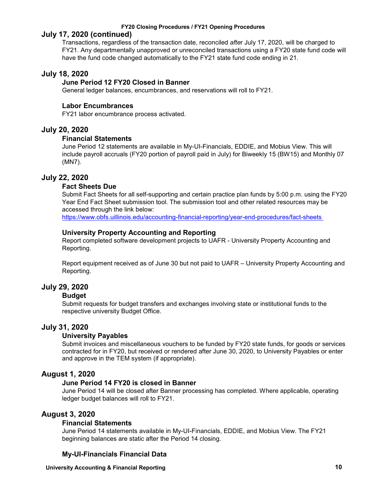#### **July 17, 2020 (continued)**

Transactions, regardless of the transaction date, reconciled *afte*r July 17, 2020, will be charged to FY21. Any departmentally unapproved or unreconciled transactions using a FY20 state fund code will have the fund code changed automatically to the FY21 state fund code ending in 21.

#### **July 18, 2020**

#### **June Period 12 FY20 Closed in Banner**

General ledger balances, encumbrances, and reservations will roll to FY21.

#### **Labor Encumbrances**

FY21 labor encumbrance process activated.

#### **July 20, 2020**

#### **Financial Statements**

June Period 12 statements are available in My-UI-Financials, EDDIE, and Mobius View. This will include payroll accruals (FY20 portion of payroll paid in July) for Biweekly 15 (BW15) and Monthly 07 (MN7).

#### **July 22, 2020**

#### **Fact Sheets Due**

Submit Fact Sheets for all self-supporting and certain practice plan funds by 5:00 p.m. using the FY20 Year End Fact Sheet submission tool. The submission tool and other related resources may be accessed through the link below:

<https://www.obfs.uillinois.edu/accounting-financial-reporting/year-end-procedures/fact-sheets>

#### **University Property Accounting and Reporting**

Report completed software development projects to UAFR - University Property Accounting and Reporting.

Report equipment received as of June 30 but not paid to UAFR – University Property Accounting and Reporting.

#### **July 29, 2020**

#### **Budget**

Submit requests for budget transfers and exchanges involving state or institutional funds to the respective university Budget Office.

#### **July 31, 2020**

#### **University Payables**

Submit invoices and miscellaneous vouchers to be funded by FY20 state funds, for goods or services contracted for in FY20, but received or rendered after June 30, 2020, to University Payables or enter and approve in the TEM system (if appropriate).

#### **August 1, 2020**

#### **June Period 14 FY20 is closed in Banner**

June Period 14 will be closed after Banner processing has completed. Where applicable, operating ledger budget balances will roll to FY21.

#### **August 3, 2020**

#### **Financial Statements**

June Period 14 statements available in My-UI-Financials, EDDIE, and Mobius View. The FY21 beginning balances are static after the Period 14 closing.

#### **My-UI-Financials Financial Data**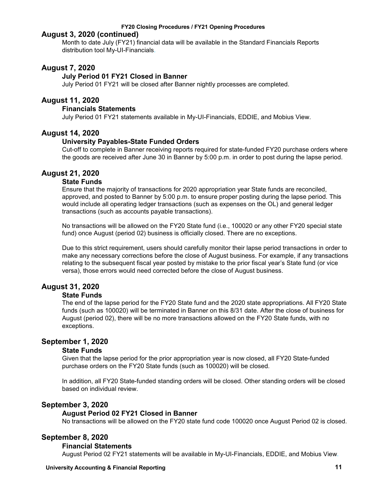#### **August 3, 2020 (continued)**

Month to date July (FY21) financial data will be available in the Standard Financials Reports distribution tool My-UI-Financials.

#### **August 7, 2020**

#### **July Period 01 FY21 Closed in Banner**

July Period 01 FY21 will be closed after Banner nightly processes are completed.

#### **August 11, 2020**

#### **Financials Statements**

July Period 01 FY21 statements available in My-UI-Financials, EDDIE, and Mobius View.

#### **August 14, 2020**

#### **University Payables-State Funded Orders**

Cut-off to complete in Banner receiving reports required for state-funded FY20 purchase orders where the goods are received after June 30 in Banner by 5:00 p.m. in order to post during the lapse period.

#### **August 21, 2020**

#### **State Funds**

Ensure that the majority of transactions for 2020 appropriation year State funds are reconciled, approved, and posted to Banner by 5:00 p.m. to ensure proper posting during the lapse period. This would include all operating ledger transactions (such as expenses on the OL) and general ledger transactions (such as accounts payable transactions).

No transactions will be allowed on the FY20 State fund (i.e., 100020 or any other FY20 special state fund) once August (period 02) business is officially closed. There are no exceptions.

Due to this strict requirement, users should carefully monitor their lapse period transactions in order to make any necessary corrections before the close of August business. For example, if any transactions relating to the subsequent fiscal year posted by mistake to the prior fiscal year's State fund (or vice versa), those errors would need corrected before the close of August business.

#### **August 31, 2020**

#### **State Funds**

The end of the lapse period for the FY20 State fund and the 2020 state appropriations. All FY20 State funds (such as 100020) will be terminated in Banner on this 8/31 date. After the close of business for August (period 02), there will be no more transactions allowed on the FY20 State funds, with no exceptions.

#### **September 1, 2020**

#### **State Funds**

Given that the lapse period for the prior appropriation year is now closed, all FY20 State-funded purchase orders on the FY20 State funds (such as 100020) will be closed.

In addition, all FY20 State-funded standing orders will be closed. Other standing orders will be closed based on individual review.

#### **September 3, 2020**

#### **August Period 02 FY21 Closed in Banner**

No transactions will be allowed on the FY20 state fund code 100020 once August Period 02 is closed.

#### **September 8, 2020**

#### **Financial Statements**

August Period 02 FY21 statements will be available in My-UI-Financials, EDDIE, and Mobius View.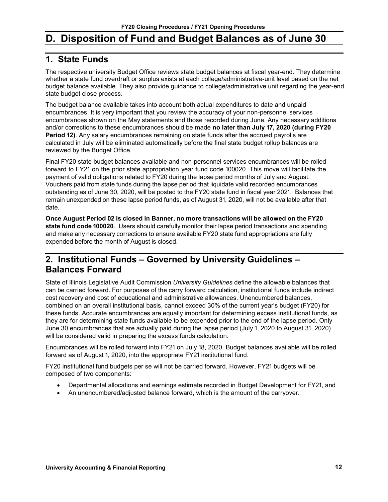# <span id="page-13-0"></span>**D. Disposition of Fund and Budget Balances as of June 30**

### <span id="page-13-1"></span>**1. State Funds**

The respective university Budget Office reviews state budget balances at fiscal year-end. They determine whether a state fund overdraft or surplus exists at each college/administrative-unit level based on the net budget balance available. They also provide guidance to college/administrative unit regarding the year-end state budget close process.

The budget balance available takes into account both actual expenditures to date and unpaid encumbrances. It is very important that you review the accuracy of your non-personnel services encumbrances shown on the May statements and those recorded during June. Any necessary additions and/or corrections to these encumbrances should be made **no later than July 17, 2020 (during FY20 Period 12)**. Any salary encumbrances remaining on state funds after the accrued payrolls are calculated in July will be eliminated automatically before the final state budget rollup balances are reviewed by the Budget Office.

Final FY20 state budget balances available and non-personnel services encumbrances will be rolled forward to FY21 on the prior state appropriation year fund code 100020. This move will facilitate the payment of valid obligations related to FY20 during the lapse period months of July and August. Vouchers paid from state funds during the lapse period that liquidate valid recorded encumbrances outstanding as of June 30, 2020, will be posted to the FY20 state fund in fiscal year 2021. Balances that remain unexpended on these lapse period funds, as of August 31, 2020, will not be available after that date.

**Once August Period 02 is closed in Banner, no more transactions will be allowed on the FY20 state fund code 100020**. Users should carefully monitor their lapse period transactions and spending and make any necessary corrections to ensure available FY20 state fund appropriations are fully expended before the month of August is closed.

# <span id="page-13-2"></span>**2. Institutional Funds – Governed by University Guidelines – Balances Forward**

State of Illinois Legislative Audit Commission *University Guidelines* define the allowable balances that can be carried forward. For purposes of the carry forward calculation, institutional funds include indirect cost recovery and cost of educational and administrative allowances. Unencumbered balances, combined on an overall institutional basis, cannot exceed 30% of the current year's budget (FY20) for these funds. Accurate encumbrances are equally important for determining excess institutional funds, as they are for determining state funds available to be expended prior to the end of the lapse period. Only June 30 encumbrances that are actually paid during the lapse period (July 1, 2020 to August 31, 2020) will be considered valid in preparing the excess funds calculation.

Encumbrances will be rolled forward into FY21 on July 18, 2020. Budget balances available will be rolled forward as of August 1, 2020, into the appropriate FY21 institutional fund.

FY20 institutional fund budgets per se will not be carried forward. However, FY21 budgets will be composed of two components:

- Departmental allocations and earnings estimate recorded in Budget Development for FY21, and
- An unencumbered/adjusted balance forward, which is the amount of the carryover.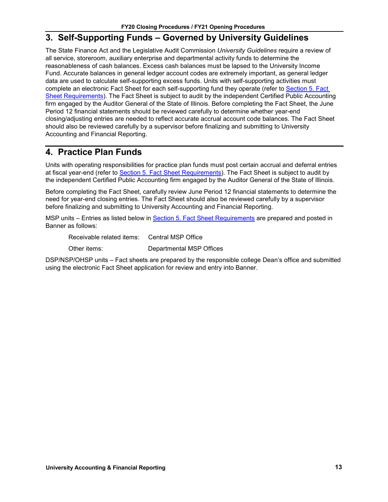### <span id="page-14-0"></span>**3. Self-Supporting Funds – Governed by University Guidelines**

The State Finance Act and the Legislative Audit Commission *University Guidelines* require a review of all service, storeroom, auxiliary enterprise and departmental activity funds to determine the reasonableness of cash balances. Excess cash balances must be lapsed to the University Income Fund. Accurate balances in general ledger account codes are extremely important, as general ledger data are used to calculate self-supporting excess funds. Units with self-supporting activities must complete an electronic Fact Sheet for each self-supporting fund they operate (refer to [Section 5.](#page-15-0) Fact [Sheet Requirements\)](#page-15-0). The Fact Sheet is subject to audit by the independent Certified Public Accounting firm engaged by the Auditor General of the State of Illinois. Before completing the Fact Sheet, the June Period 12 financial statements should be reviewed carefully to determine whether year-end closing/adjusting entries are needed to reflect accurate accrual account code balances. The Fact Sheet should also be reviewed carefully by a supervisor before finalizing and submitting to University Accounting and Financial Reporting.

### <span id="page-14-1"></span>**4. Practice Plan Funds**

Units with operating responsibilities for practice plan funds must post certain accrual and deferral entries at fiscal year-end (refer to Section 5. [Fact Sheet Requirements\)](#page-15-0). The Fact Sheet is subject to audit by the independent Certified Public Accounting firm engaged by the Auditor General of the State of Illinois.

Before completing the Fact Sheet, carefully review June Period 12 financial statements to determine the need for year-end closing entries. The Fact Sheet should also be reviewed carefully by a supervisor before finalizing and submitting to University Accounting and Financial Reporting.

MSP units – Entries as listed below in Section 5. [Fact Sheet Requirements](#page-15-0) are prepared and posted in Banner as follows:

Receivable related items: Central MSP Office

Other items: Departmental MSP Offices

DSP/NSP/OHSP units – Fact sheets are prepared by the responsible college Dean's office and submitted using the electronic Fact Sheet application for review and entry into Banner.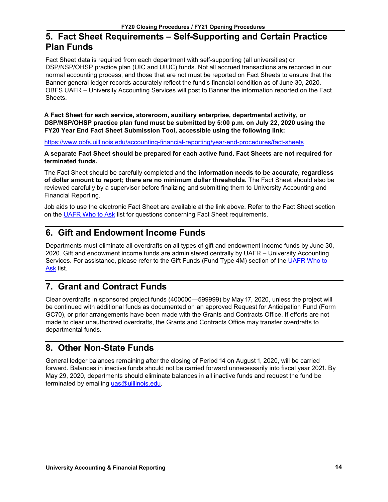## <span id="page-15-0"></span>**5. Fact Sheet Requirements – Self-Supporting and Certain Practice Plan Funds**

Fact Sheet data is required from each department with self-supporting (all universities) or DSP/NSP/OHSP practice plan (UIC and UIUC) funds. Not all accrued transactions are recorded in our normal accounting process, and those that are not must be reported on Fact Sheets to ensure that the Banner general ledger records accurately reflect the fund's financial condition as of June 30, 2020. OBFS UAFR – University Accounting Services will post to Banner the information reported on the Fact Sheets.

**A Fact Sheet for each service, storeroom, auxiliary enterprise, departmental activity, or DSP/NSP/OHSP practice plan fund must be submitted by 5:00 p.m. on July 22, 2020 using the FY20 Year End Fact Sheet Submission Tool, accessible using the following link:**

<https://www.obfs.uillinois.edu/accounting-financial-reporting/year-end-procedures/fact-sheets>

**A separate Fact Sheet should be prepared for each active fund. Fact Sheets are not required for terminated funds.**

The Fact Sheet should be carefully completed and **the information needs to be accurate, regardless of dollar amount to report; there are no minimum dollar thresholds.** The Fact Sheet should also be reviewed carefully by a supervisor before finalizing and submitting them to University Accounting and Financial Reporting.

Job aids to use the electronic Fact Sheet are available at the link above. Refer to the Fact Sheet section on the [UAFR Who to Ask](https://www.obfs.uillinois.edu/accounting-financial-reporting/who-to-ask/types-questions#fact-sheets) list for questions concerning Fact Sheet requirements.

## <span id="page-15-1"></span>**6. Gift and Endowment Income Funds**

Departments must eliminate all overdrafts on all types of gift and endowment income funds by June 30, 2020. Gift and endowment income funds are administered centrally by UAFR – University Accounting Services. For assistance, please refer to the Gift Funds (Fund Type 4M) section of the [UAFR Who to](https://www.obfs.uillinois.edu/accounting-financial-reporting/who-to-ask/types-questions#gift-funds-4m)  [Ask](https://www.obfs.uillinois.edu/accounting-financial-reporting/who-to-ask/types-questions#gift-funds-4m) list.

# <span id="page-15-2"></span>**7. Grant and Contract Funds**

Clear overdrafts in sponsored project funds (400000—599999) by May 17, 2020, unless the project will be continued with additional funds as documented on an approved Request for Anticipation Fund (Form GC70), or prior arrangements have been made with the Grants and Contracts Office. If efforts are not made to clear unauthorized overdrafts, the Grants and Contracts Office may transfer overdrafts to departmental funds.

# <span id="page-15-3"></span>**8. Other Non-State Funds**

General ledger balances remaining after the closing of Period 14 on August 1, 2020, will be carried forward. Balances in inactive funds should not be carried forward unnecessarily into fiscal year 2021. By May 29, 2020, departments should eliminate balances in all inactive funds and request the fund be terminated by emailing [uas@uillinois.edu.](mailto:uas@uillinois.edu)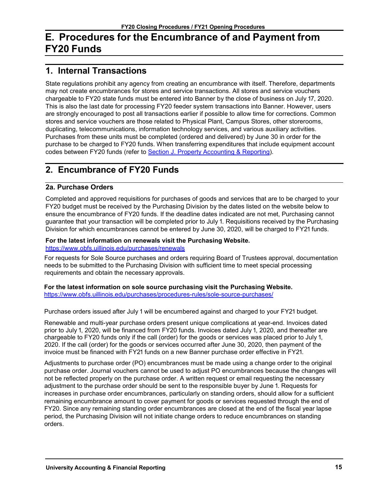# <span id="page-16-0"></span>**E. Procedures for the Encumbrance of and Payment from FY20 Funds**

### <span id="page-16-1"></span>**1. Internal Transactions**

State regulations prohibit any agency from creating an encumbrance with itself. Therefore, departments may not create encumbrances for stores and service transactions. All stores and service vouchers chargeable to FY20 state funds must be entered into Banner by the close of business on July 17, 2020. This is also the last date for processing FY20 feeder system transactions into Banner. However, users are strongly encouraged to post all transactions earlier if possible to allow time for corrections. Common stores and service vouchers are those related to Physical Plant, Campus Stores, other storerooms, duplicating, telecommunications, information technology services, and various auxiliary activities. Purchases from these units must be completed (ordered and delivered) by June 30 in order for the purchase to be charged to FY20 funds. When transferring expenditures that include equipment account codes between FY20 funds (refer to Section J. [Property Accounting & Reporting\)](#page-20-0).

## <span id="page-16-2"></span>**2. Encumbrance of FY20 Funds**

#### **2a. Purchase Orders**

Completed and approved requisitions for purchases of goods and services that are to be charged to your FY20 budget must be received by the Purchasing Division by the dates listed on the website below to ensure the encumbrance of FY20 funds. If the deadline dates indicated are not met, Purchasing cannot guarantee that your transaction will be completed prior to July 1. Requisitions received by the Purchasing Division for which encumbrances cannot be entered by June 30, 2020, will be charged to FY21 funds.

### **For the latest information on renewals visit the Purchasing Website.**

<https://www.obfs.uillinois.edu/purchases/renewals>

For requests for Sole Source purchases and orders requiring Board of Trustees approval, documentation needs to be submitted to the Purchasing Division with sufficient time to meet special processing requirements and obtain the necessary approvals.

**For the latest information on sole source purchasing visit the Purchasing Website.**

<https://www.obfs.uillinois.edu/purchases/procedures-rules/sole-source-purchases/>

Purchase orders issued after July 1 will be encumbered against and charged to your FY21 budget.

Renewable and multi-year purchase orders present unique complications at year-end. Invoices dated prior to July 1, 2020, will be financed from FY20 funds. Invoices dated July 1, 2020, and thereafter are chargeable to FY20 funds only if the call (order) for the goods or services was placed prior to July 1, 2020. If the call (order) for the goods or services occurred after June 30, 2020, then payment of the invoice must be financed with FY21 funds on a new Banner purchase order effective in FY21.

Adjustments to purchase order (PO) encumbrances must be made using a change order to the original purchase order. Journal vouchers cannot be used to adjust PO encumbrances because the changes will not be reflected properly on the purchase order. A written request or email requesting the necessary adjustment to the purchase order should be sent to the responsible buyer by June 1. Requests for increases in purchase order encumbrances, particularly on standing orders, should allow for a sufficient remaining encumbrance amount to cover payment for goods or services requested through the end of FY20. Since any remaining standing order encumbrances are closed at the end of the fiscal year lapse period, the Purchasing Division will not initiate change orders to reduce encumbrances on standing orders.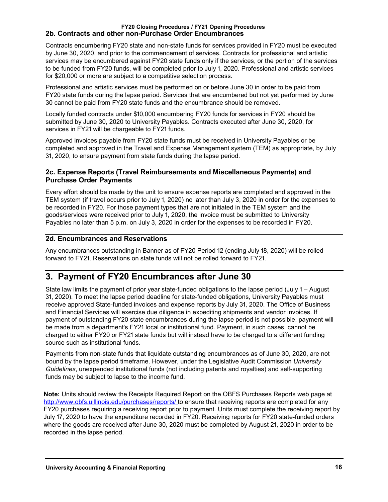#### **FY20 Closing Procedures / FY21 Opening Procedures 2b. Contracts and other non-Purchase Order Encumbrances**

Contracts encumbering FY20 state and non-state funds for services provided in FY20 must be executed by June 30, 2020, and prior to the commencement of services. Contracts for professional and artistic services may be encumbered against FY20 state funds only if the services, or the portion of the services to be funded from FY20 funds, will be completed prior to July 1, 2020. Professional and artistic services for \$20,000 or more are subject to a competitive selection process.

Professional and artistic services must be performed on or before June 30 in order to be paid from FY20 state funds during the lapse period. Services that are encumbered but not yet performed by June 30 cannot be paid from FY20 state funds and the encumbrance should be removed.

Locally funded contracts under \$10,000 encumbering FY20 funds for services in FY20 should be submitted by June 30, 2020 to University Payables. Contracts executed after June 30, 2020, for services in FY21 will be chargeable to FY21 funds.

Approved invoices payable from FY20 state funds must be received in University Payables or be completed and approved in the Travel and Expense Management system (TEM) as appropriate, by July 31, 2020, to ensure payment from state funds during the lapse period.

#### **2c. Expense Reports (Travel Reimbursements and Miscellaneous Payments) and Purchase Order Payments**

Every effort should be made by the unit to ensure expense reports are completed and approved in the TEM system (if travel occurs prior to July 1, 2020) no later than July 3, 2020 in order for the expenses to be recorded in FY20. For those payment types that are not initiated in the TEM system and the goods/services were received prior to July 1, 2020, the invoice must be submitted to University Payables no later than 5 p.m. on July 3, 2020 in order for the expenses to be recorded in FY20.

#### **2d. Encumbrances and Reservations**

Any encumbrances outstanding in Banner as of FY20 Period 12 (ending July 18, 2020) will be rolled forward to FY21. Reservations on state funds will not be rolled forward to FY21.

### <span id="page-17-0"></span>**3. Payment of FY20 Encumbrances after June 30**

State law limits the payment of prior year state-funded obligations to the lapse period (July 1 – August 31, 2020). To meet the lapse period deadline for state-funded obligations, University Payables must receive approved State-funded invoices and expense reports by July 31, 2020. The Office of Business and Financial Services will exercise due diligence in expediting shipments and vendor invoices. If payment of outstanding FY20 state encumbrances during the lapse period is not possible, payment will be made from a department's FY21 local or institutional fund. Payment, in such cases, cannot be charged to either FY20 or FY21 state funds but will instead have to be charged to a different funding source such as institutional funds.

Payments from non-state funds that liquidate outstanding encumbrances as of June 30, 2020, are not bound by the lapse period timeframe. However, under the Legislative Audit Commission *University Guidelines*, unexpended institutional funds (not including patents and royalties) and self-supporting funds may be subject to lapse to the income fund.

**Note:** Units should review the Receipts Required Report on the OBFS Purchases Reports web page at [http://www.obfs.uillinois.edu/purchases/reports/ t](http://www.obfs.uillinois.edu/purchases/reports/)o ensure that receiving reports are completed for any FY20 purchases requiring a receiving report prior to payment. Units must complete the receiving report by July 17, 2020 to have the expenditure recorded in FY20. Receiving reports for FY20 state-funded orders where the goods are received after June 30, 2020 must be completed by August 21, 2020 in order to be recorded in the lapse period.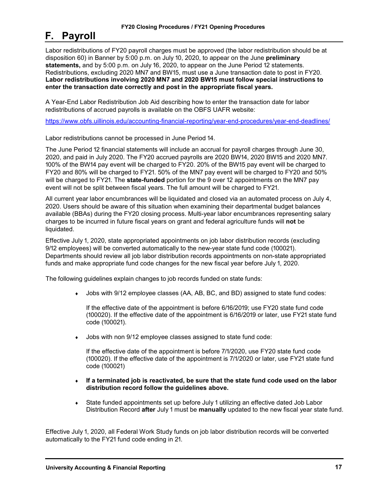# <span id="page-18-0"></span>**F. Payroll**

Labor redistributions of FY20 payroll charges must be approved (the labor redistribution should be at disposition 60) in Banner by 5:00 p.m. on July 10, 2020, to appear on the June **preliminary statements,** and by 5:00 p.m. on July 16, 2020, to appear on the June Period 12 statements. Redistributions, excluding 2020 MN7 and BW15, must use a June transaction date to post in FY20. **Labor redistributions involving 2020 MN7 and 2020 BW15 must follow special instructions to enter the transaction date correctly and post in the appropriate fiscal years.**

A Year-End Labor Redistribution Job Aid describing how to enter the transaction date for labor redistributions of accrued payrolls is available on the OBFS UAFR website:

<https://www.obfs.uillinois.edu/accounting-financial-reporting/year-end-procedures/year-end-deadlines/>

Labor redistributions cannot be processed in June Period 14.

The June Period 12 financial statements will include an accrual for payroll charges through June 30, 2020, and paid in July 2020. The FY20 accrued payrolls are 2020 BW14, 2020 BW15 and 2020 MN7. 100% of the BW14 pay event will be charged to FY20. 20% of the BW15 pay event will be charged to FY20 and 80% will be charged to FY21. 50% of the MN7 pay event will be charged to FY20 and 50% will be charged to FY21. The **state-funded** portion for the 9 over 12 appointments on the MN7 pay event will not be split between fiscal years. The full amount will be charged to FY21.

All current year labor encumbrances will be liquidated and closed via an automated process on July 4, 2020. Users should be aware of this situation when examining their departmental budget balances available (BBAs) during the FY20 closing process. Multi-year labor encumbrances representing salary charges to be incurred in future fiscal years on grant and federal agriculture funds will **not** be liquidated.

Effective July 1, 2020, state appropriated appointments on job labor distribution records (excluding 9/12 employees) will be converted automatically to the new-year state fund code (100021). Departments should review all job labor distribution records appointments on non-state appropriated funds and make appropriate fund code changes for the new fiscal year before July 1, 2020.

The following guidelines explain changes to job records funded on state funds:

Jobs with 9/12 employee classes (AA, AB, BC, and BD) assigned to state fund codes:

If the effective date of the appointment is before 6/16/2019; use FY20 state fund code (100020). If the effective date of the appointment is 6/16/2019 or later, use FY21 state fund code (100021).

♦ Jobs with non 9/12 employee classes assigned to state fund code:

If the effective date of the appointment is before 7/1/2020, use FY20 state fund code (100020). If the effective date of the appointment is 7/1/2020 or later, use FY21 state fund code (100021)

- ♦ **If a terminated job is reactivated, be sure that the state fund code used on the labor distribution record follow the guidelines above.**
- ♦ State funded appointments set up before July 1 utilizing an effective dated Job Labor Distribution Record **after** July 1 must be **manually** updated to the new fiscal year state fund.

Effective July 1, 2020, all Federal Work Study funds on job labor distribution records will be converted automatically to the FY21 fund code ending in 21.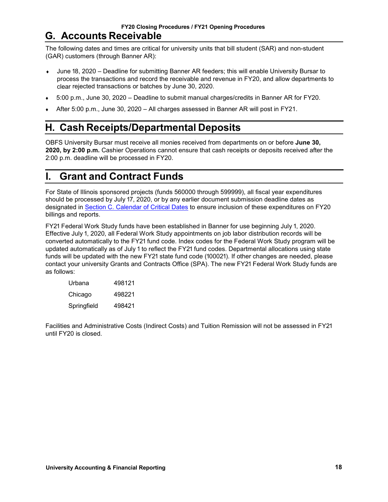<span id="page-19-0"></span>The following dates and times are critical for university units that bill student (SAR) and non-student (GAR) customers (through Banner AR):

- June 18, 2020 Deadline for submitting Banner AR feeders; this will enable University Bursar to process the transactions and record the receivable and revenue in FY20, and allow departments to clear rejected transactions or batches by June 30, 2020.
- ♦ 5:00 p.m., June 30, 2020 Deadline to submit manual charges/credits in Banner AR for FY20.
- After 5:00 p.m., June 30, 2020 All charges assessed in Banner AR will post in FY21.

# <span id="page-19-1"></span>**H. Cash Receipts/Departmental Deposits**

OBFS University Bursar must receive all monies received from departments on or before **June 30, 2020, by 2:00 p.m.** Cashier Operations cannot ensure that cash receipts or deposits received after the 2:00 p.m. deadline will be processed in FY20.

# <span id="page-19-2"></span>**I. Grant and Contract Funds**

For State of Illinois sponsored projects (funds 560000 through 599999), all fiscal year expenditures should be processed by July 17, 2020, or by any earlier document submission deadline dates as designated in [Section C. Calendar of Critical Dates](#page-5-0) to ensure inclusion of these expenditures on FY20 billings and reports.

FY21 Federal Work Study funds have been established in Banner for use beginning July 1, 2020. Effective July 1, 2020, all Federal Work Study appointments on job labor distribution records will be converted automatically to the FY21 fund code. Index codes for the Federal Work Study program will be updated automatically as of July 1 to reflect the FY21 fund codes. Departmental allocations using state funds will be updated with the new FY21 state fund code (100021). If other changes are needed, please contact your university Grants and Contracts Office (SPA). The new FY21 Federal Work Study funds are as follows:

| Urbana      | 498121 |
|-------------|--------|
| Chicago     | 498221 |
| Springfield | 498421 |

Facilities and Administrative Costs (Indirect Costs) and Tuition Remission will not be assessed in FY21 until FY20 is closed.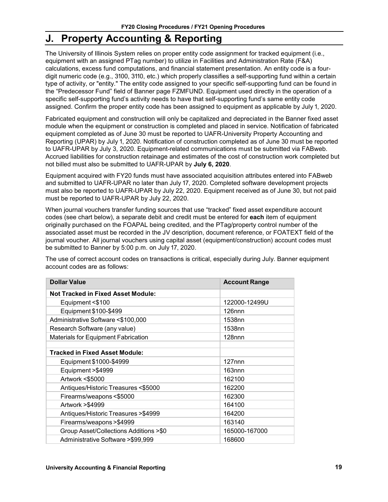# <span id="page-20-0"></span>**J. Property Accounting & Reporting**

The University of Illinois System relies on proper entity code assignment for tracked equipment (i.e., equipment with an assigned PTag number) to utilize in Facilities and Administration Rate (F&A) calculations, excess fund computations, and financial statement presentation. An entity code is a fourdigit numeric code (e.g., 3100, 3110, etc.) which properly classifies a self-supporting fund within a certain type of activity, or "entity." The entity code assigned to your specific self-supporting fund can be found in the "Predecessor Fund" field of Banner page FZMFUND. Equipment used directly in the operation of a specific self-supporting fund's activity needs to have that self-supporting fund's same entity code assigned. Confirm the proper entity code has been assigned to equipment as applicable by July 1, 2020.

Fabricated equipment and construction will only be capitalized and depreciated in the Banner fixed asset module when the equipment or construction is completed and placed in service. Notification of fabricated equipment completed as of June 30 must be reported to UAFR-University Property Accounting and Reporting (UPAR) by July 1, 2020. Notification of construction completed as of June 30 must be reported to UAFR-UPAR by July 3, 2020. Equipment-related communications must be submitted via FABweb. Accrued liabilities for construction retainage and estimates of the cost of construction work completed but not billed must also be submitted to UAFR-UPAR by **July 6, 2020**.

Equipment acquired with FY20 funds must have associated acquisition attributes entered into FABweb and submitted to UAFR-UPAR no later than July 17, 2020. Completed software development projects must also be reported to UAFR-UPAR by July 22, 2020. Equipment received as of June 30, but not paid must be reported to UAFR-UPAR by July 22, 2020.

When journal vouchers transfer funding sources that use "tracked" fixed asset expenditure account codes (see chart below), a separate debit and credit must be entered for **each** item of equipment originally purchased on the FOAPAL being credited, and the PTag/property control number of the associated asset must be recorded in the JV description, document reference, or FOATEXT field of the journal voucher. All journal vouchers using capital asset (equipment/construction) account codes must be submitted to Banner by 5:00 p.m. on July 17, 2020.

The use of correct account codes on transactions is critical, especially during July. Banner equipment account codes are as follows:

| <b>Dollar Value</b>                        | <b>Account Range</b> |
|--------------------------------------------|----------------------|
| <b>Not Tracked in Fixed Asset Module:</b>  |                      |
| Equipment <\$100                           | 122000-12499U        |
| Equipment \$100-\$499                      | 126 <sub>nnn</sub>   |
| Administrative Software <\$100,000         | 1538nn               |
| Research Software (any value)              | 1538nn               |
| <b>Materials for Equipment Fabrication</b> | 128 <sub>nnn</sub>   |
|                                            |                      |
| <b>Tracked in Fixed Asset Module:</b>      |                      |
| Equipment \$1000-\$4999                    | $127$ nnn            |
| Equipment > \$4999                         | $163$ nnn            |
| Artwork <\$5000                            | 162100               |
| Antiques/Historic Treasures <\$5000        | 162200               |
| Firearms/weapons <\$5000                   | 162300               |
| Artwork > \$4999                           | 164100               |
| Antiques/Historic Treasures > \$4999       | 164200               |
| Firearms/weapons > \$4999                  | 163140               |
| Group Asset/Collections Additions >\$0     | 165000-167000        |
| Administrative Software >\$99,999          | 168600               |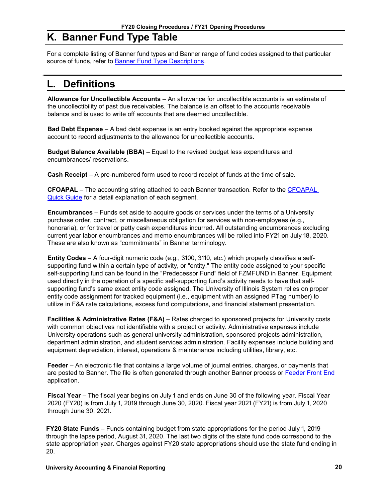# <span id="page-21-0"></span>**K. Banner Fund Type Table**

For a complete listing of Banner fund types and Banner range of fund codes assigned to that particular source of funds, refer to **Banner Fund Type Descriptions**.

# <span id="page-21-1"></span>**L. Definitions**

**Allowance for Uncollectible Accounts** – An allowance for uncollectible accounts is an estimate of the uncollectibility of past due receivables. The balance is an offset to the accounts receivable balance and is used to write off accounts that are deemed uncollectible.

**Bad Debt Expense** – A bad debt expense is an entry booked against the appropriate expense account to record adjustments to the allowance for uncollectible accounts.

**Budget Balance Available (BBA)** – Equal to the revised budget less expenditures and encumbrances/ reservations.

**Cash Receipt** – A pre-numbered form used to record receipt of funds at the time of sale.

**CFOAPAL** – The accounting string attached to each Banner transaction. Refer to the [CFOAPAL](https://www.obfs.uillinois.edu/training/materials/intro-banner-finance/c-foapal-quick-guide/)  [Quick Guide](https://www.obfs.uillinois.edu/training/materials/intro-banner-finance/c-foapal-quick-guide/) for a detail explanation of each segment.

**Encumbrances** – Funds set aside to acquire goods or services under the terms of a University purchase order, contract, or miscellaneous obligation for services with non-employees (e.g., honoraria), or for travel or petty cash expenditures incurred. All outstanding encumbrances excluding current year labor encumbrances and memo encumbrances will be rolled into FY21 on July 18, 2020. These are also known as "commitments" in Banner terminology.

**Entity Codes** – A four-digit numeric code (e.g., 3100, 3110, etc.) which properly classifies a selfsupporting fund within a certain type of activity, or "entity." The entity code assigned to your specific self-supporting fund can be found in the "Predecessor Fund" field of FZMFUND in Banner. Equipment used directly in the operation of a specific self-supporting fund's activity needs to have that selfsupporting fund's same exact entity code assigned. The University of Illinois System relies on proper entity code assignment for tracked equipment (i.e., equipment with an assigned PTag number) to utilize in F&A rate calculations, excess fund computations, and financial statement presentation.

**Facilities & Administrative Rates (F&A)** – Rates charged to sponsored projects for University costs with common objectives not identifiable with a project or activity. Administrative expenses include University operations such as general university administration, sponsored projects administration, department administration, and student services administration. Facility expenses include building and equipment depreciation, interest, operations & maintenance including utilities, library, etc.

**Feeder** – An electronic file that contains a large volume of journal entries, charges, or payments that are posted to Banner. The file is often generated through another Banner process or [Feeder Front End](https://www.obfs.uillinois.edu/finance-feeder-front-end-resource-page/) application.

**Fiscal Year** – The fiscal year begins on July 1 and ends on June 30 of the following year. Fiscal Year 2020 (FY20) is from July 1, 2019 through June 30, 2020. Fiscal year 2021 (FY21) is from July 1, 2020 through June 30, 2021.

**FY20 State Funds** – Funds containing budget from state appropriations for the period July 1, 2019 through the lapse period, August 31, 2020. The last two digits of the state fund code correspond to the state appropriation year. Charges against FY20 state appropriations should use the state fund ending in 20.